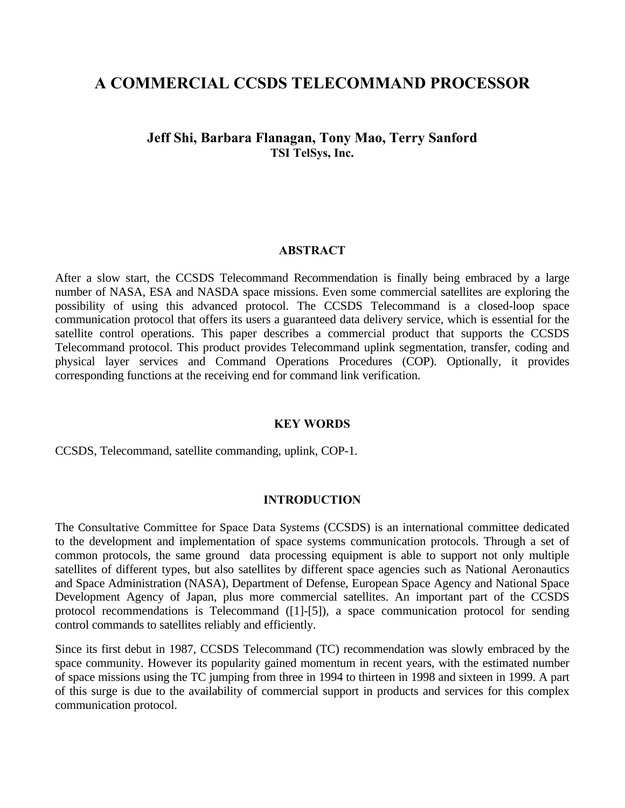# **A COMMERCIAL CCSDS TELECOMMAND PROCESSOR**

# **Jeff Shi, Barbara Flanagan, Tony Mao, Terry Sanford TSI TelSys, Inc.**

#### **ABSTRACT**

After a slow start, the CCSDS Telecommand Recommendation is finally being embraced by a large number of NASA, ESA and NASDA space missions. Even some commercial satellites are exploring the possibility of using this advanced protocol. The CCSDS Telecommand is a closed-loop space communication protocol that offers its users a guaranteed data delivery service, which is essential for the satellite control operations. This paper describes a commercial product that supports the CCSDS Telecommand protocol. This product provides Telecommand uplink segmentation, transfer, coding and physical layer services and Command Operations Procedures (COP). Optionally, it provides corresponding functions at the receiving end for command link verification.

#### **KEY WORDS**

CCSDS, Telecommand, satellite commanding, uplink, COP-1.

#### **INTRODUCTION**

The Consultative Committee for Space Data Systems (CCSDS) is an international committee dedicated to the development and implementation of space systems communication protocols. Through a set of common protocols, the same ground data processing equipment is able to support not only multiple satellites of different types, but also satellites by different space agencies such as National Aeronautics and Space Administration (NASA), Department of Defense, European Space Agency and National Space Development Agency of Japan, plus more commercial satellites. An important part of the CCSDS protocol recommendations is Telecommand ([1]-[5]), a space communication protocol for sending control commands to satellites reliably and efficiently.

Since its first debut in 1987, CCSDS Telecommand (TC) recommendation was slowly embraced by the space community. However its popularity gained momentum in recent years, with the estimated number of space missions using the TC jumping from three in 1994 to thirteen in 1998 and sixteen in 1999. A part of this surge is due to the availability of commercial support in products and services for this complex communication protocol.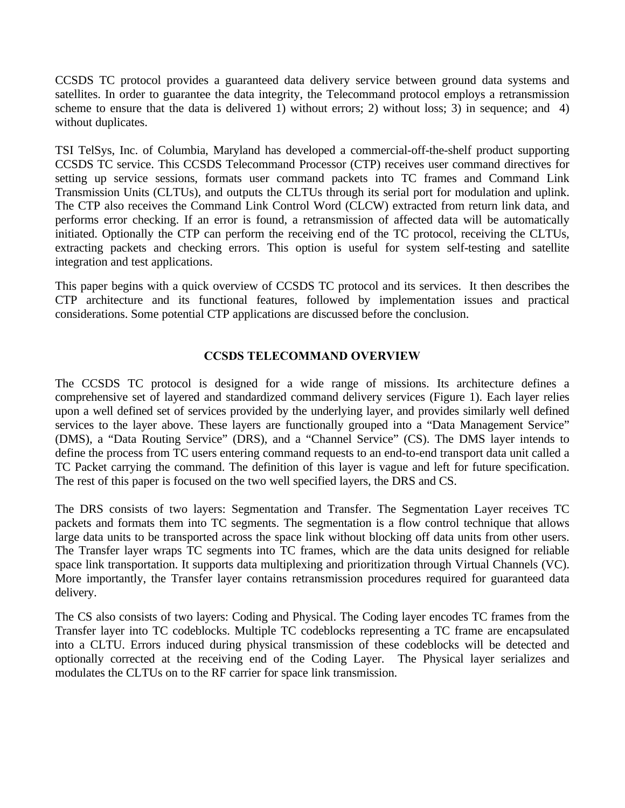CCSDS TC protocol provides a guaranteed data delivery service between ground data systems and satellites. In order to guarantee the data integrity, the Telecommand protocol employs a retransmission scheme to ensure that the data is delivered 1) without errors; 2) without loss; 3) in sequence; and 4) without duplicates.

TSI TelSys, Inc. of Columbia, Maryland has developed a commercial-off-the-shelf product supporting CCSDS TC service. This CCSDS Telecommand Processor (CTP) receives user command directives for setting up service sessions, formats user command packets into TC frames and Command Link Transmission Units (CLTUs), and outputs the CLTUs through its serial port for modulation and uplink. The CTP also receives the Command Link Control Word (CLCW) extracted from return link data, and performs error checking. If an error is found, a retransmission of affected data will be automatically initiated. Optionally the CTP can perform the receiving end of the TC protocol, receiving the CLTUs, extracting packets and checking errors. This option is useful for system self-testing and satellite integration and test applications.

This paper begins with a quick overview of CCSDS TC protocol and its services. It then describes the CTP architecture and its functional features, followed by implementation issues and practical considerations. Some potential CTP applications are discussed before the conclusion.

### **CCSDS TELECOMMAND OVERVIEW**

The CCSDS TC protocol is designed for a wide range of missions. Its architecture defines a comprehensive set of layered and standardized command delivery services (Figure 1). Each layer relies upon a well defined set of services provided by the underlying layer, and provides similarly well defined services to the layer above. These layers are functionally grouped into a "Data Management Service" (DMS), a "Data Routing Service" (DRS), and a "Channel Service" (CS). The DMS layer intends to define the process from TC users entering command requests to an end-to-end transport data unit called a TC Packet carrying the command. The definition of this layer is vague and left for future specification. The rest of this paper is focused on the two well specified layers, the DRS and CS.

The DRS consists of two layers: Segmentation and Transfer. The Segmentation Layer receives TC packets and formats them into TC segments. The segmentation is a flow control technique that allows large data units to be transported across the space link without blocking off data units from other users. The Transfer layer wraps TC segments into TC frames, which are the data units designed for reliable space link transportation. It supports data multiplexing and prioritization through Virtual Channels (VC). More importantly, the Transfer layer contains retransmission procedures required for guaranteed data delivery.

The CS also consists of two layers: Coding and Physical. The Coding layer encodes TC frames from the Transfer layer into TC codeblocks. Multiple TC codeblocks representing a TC frame are encapsulated into a CLTU. Errors induced during physical transmission of these codeblocks will be detected and optionally corrected at the receiving end of the Coding Layer. The Physical layer serializes and modulates the CLTUs on to the RF carrier for space link transmission.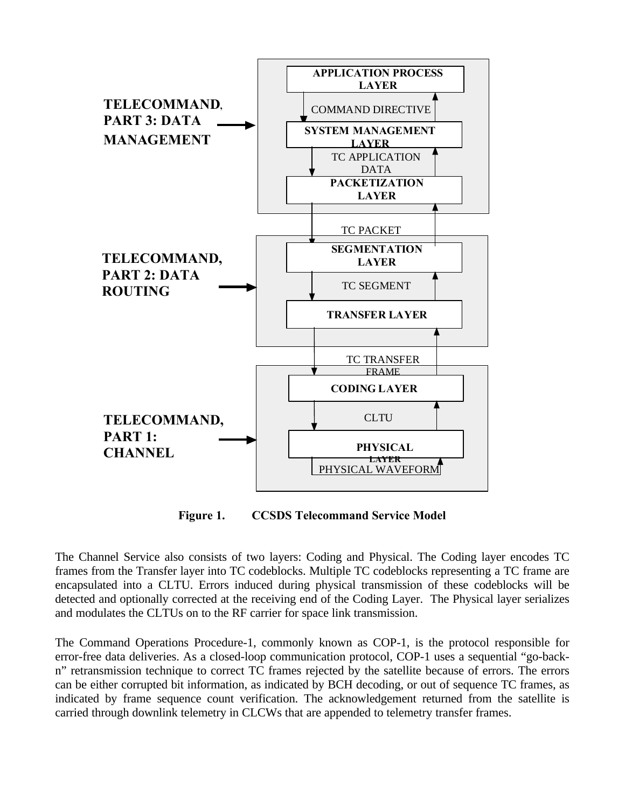

**Figure 1. CCSDS Telecommand Service Model**

The Channel Service also consists of two layers: Coding and Physical. The Coding layer encodes TC frames from the Transfer layer into TC codeblocks. Multiple TC codeblocks representing a TC frame are encapsulated into a CLTU. Errors induced during physical transmission of these codeblocks will be detected and optionally corrected at the receiving end of the Coding Layer. The Physical layer serializes and modulates the CLTUs on to the RF carrier for space link transmission.

The Command Operations Procedure-1, commonly known as COP-1, is the protocol responsible for error-free data deliveries. As a closed-loop communication protocol, COP-1 uses a sequential "go-backn" retransmission technique to correct TC frames rejected by the satellite because of errors. The errors can be either corrupted bit information, as indicated by BCH decoding, or out of sequence TC frames, as indicated by frame sequence count verification. The acknowledgement returned from the satellite is carried through downlink telemetry in CLCWs that are appended to telemetry transfer frames.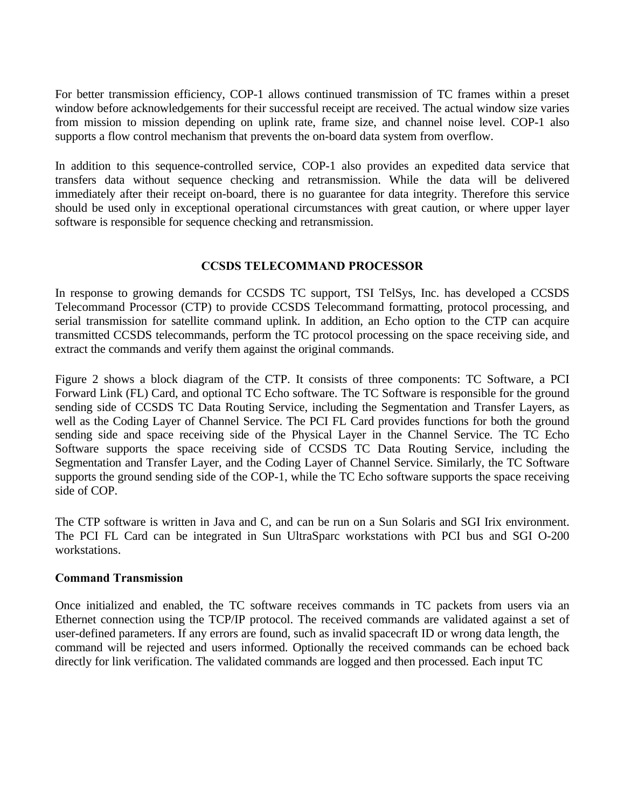For better transmission efficiency, COP-1 allows continued transmission of TC frames within a preset window before acknowledgements for their successful receipt are received. The actual window size varies from mission to mission depending on uplink rate, frame size, and channel noise level. COP-1 also supports a flow control mechanism that prevents the on-board data system from overflow.

In addition to this sequence-controlled service, COP-1 also provides an expedited data service that transfers data without sequence checking and retransmission. While the data will be delivered immediately after their receipt on-board, there is no guarantee for data integrity. Therefore this service should be used only in exceptional operational circumstances with great caution, or where upper layer software is responsible for sequence checking and retransmission.

## **CCSDS TELECOMMAND PROCESSOR**

In response to growing demands for CCSDS TC support, TSI TelSys, Inc. has developed a CCSDS Telecommand Processor (CTP) to provide CCSDS Telecommand formatting, protocol processing, and serial transmission for satellite command uplink. In addition, an Echo option to the CTP can acquire transmitted CCSDS telecommands, perform the TC protocol processing on the space receiving side, and extract the commands and verify them against the original commands.

Figure 2 shows a block diagram of the CTP. It consists of three components: TC Software, a PCI Forward Link (FL) Card, and optional TC Echo software. The TC Software is responsible for the ground sending side of CCSDS TC Data Routing Service, including the Segmentation and Transfer Layers, as well as the Coding Layer of Channel Service. The PCI FL Card provides functions for both the ground sending side and space receiving side of the Physical Layer in the Channel Service. The TC Echo Software supports the space receiving side of CCSDS TC Data Routing Service, including the Segmentation and Transfer Layer, and the Coding Layer of Channel Service. Similarly, the TC Software supports the ground sending side of the COP-1, while the TC Echo software supports the space receiving side of COP.

The CTP software is written in Java and C, and can be run on a Sun Solaris and SGI Irix environment. The PCI FL Card can be integrated in Sun UltraSparc workstations with PCI bus and SGI O-200 workstations.

### **Command Transmission**

Once initialized and enabled, the TC software receives commands in TC packets from users via an Ethernet connection using the TCP/IP protocol. The received commands are validated against a set of user-defined parameters. If any errors are found, such as invalid spacecraft ID or wrong data length, the command will be rejected and users informed. Optionally the received commands can be echoed back directly for link verification. The validated commands are logged and then processed. Each input TC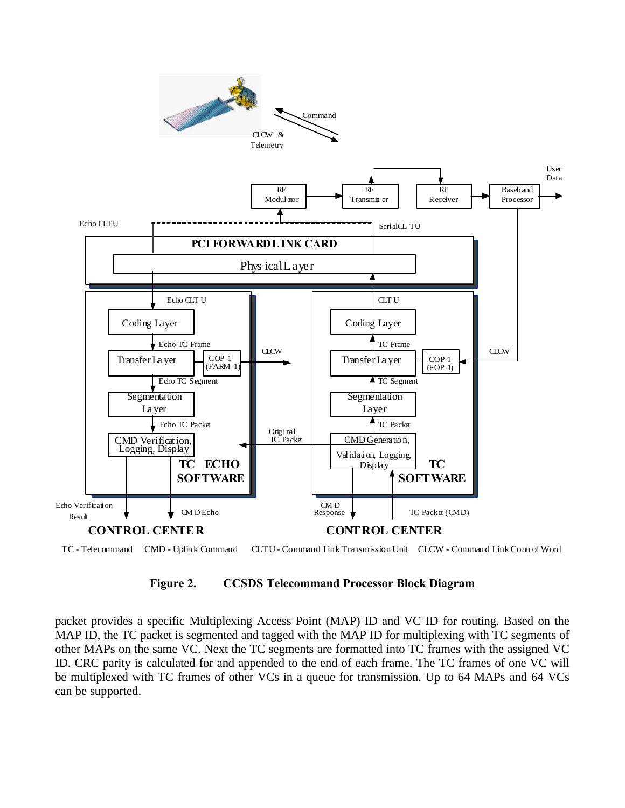



#### **Figure 2. CCSDS Telecommand Processor Block Diagram**

packet provides a specific Multiplexing Access Point (MAP) ID and VC ID for routing. Based on the MAP ID, the TC packet is segmented and tagged with the MAP ID for multiplexing with TC segments of other MAPs on the same VC. Next the TC segments are formatted into TC frames with the assigned VC ID. CRC parity is calculated for and appended to the end of each frame. The TC frames of one VC will be multiplexed with TC frames of other VCs in a queue for transmission. Up to 64 MAPs and 64 VCs can be supported.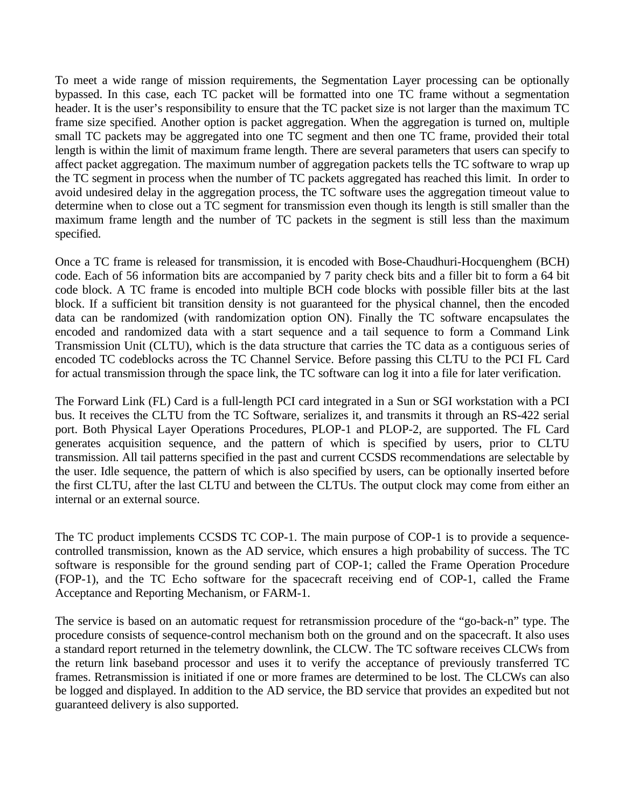To meet a wide range of mission requirements, the Segmentation Layer processing can be optionally bypassed. In this case, each TC packet will be formatted into one TC frame without a segmentation header. It is the user's responsibility to ensure that the TC packet size is not larger than the maximum TC frame size specified. Another option is packet aggregation. When the aggregation is turned on, multiple small TC packets may be aggregated into one TC segment and then one TC frame, provided their total length is within the limit of maximum frame length. There are several parameters that users can specify to affect packet aggregation. The maximum number of aggregation packets tells the TC software to wrap up the TC segment in process when the number of TC packets aggregated has reached this limit. In order to avoid undesired delay in the aggregation process, the TC software uses the aggregation timeout value to determine when to close out a TC segment for transmission even though its length is still smaller than the maximum frame length and the number of TC packets in the segment is still less than the maximum specified.

Once a TC frame is released for transmission, it is encoded with Bose-Chaudhuri-Hocquenghem (BCH) code. Each of 56 information bits are accompanied by 7 parity check bits and a filler bit to form a 64 bit code block. A TC frame is encoded into multiple BCH code blocks with possible filler bits at the last block. If a sufficient bit transition density is not guaranteed for the physical channel, then the encoded data can be randomized (with randomization option ON). Finally the TC software encapsulates the encoded and randomized data with a start sequence and a tail sequence to form a Command Link Transmission Unit (CLTU), which is the data structure that carries the TC data as a contiguous series of encoded TC codeblocks across the TC Channel Service. Before passing this CLTU to the PCI FL Card for actual transmission through the space link, the TC software can log it into a file for later verification.

The Forward Link (FL) Card is a full-length PCI card integrated in a Sun or SGI workstation with a PCI bus. It receives the CLTU from the TC Software, serializes it, and transmits it through an RS-422 serial port. Both Physical Layer Operations Procedures, PLOP-1 and PLOP-2, are supported. The FL Card generates acquisition sequence, and the pattern of which is specified by users, prior to CLTU transmission. All tail patterns specified in the past and current CCSDS recommendations are selectable by the user. Idle sequence, the pattern of which is also specified by users, can be optionally inserted before the first CLTU, after the last CLTU and between the CLTUs. The output clock may come from either an internal or an external source.

The TC product implements CCSDS TC COP-1. The main purpose of COP-1 is to provide a sequencecontrolled transmission, known as the AD service, which ensures a high probability of success. The TC software is responsible for the ground sending part of COP-1; called the Frame Operation Procedure (FOP-1), and the TC Echo software for the spacecraft receiving end of COP-1, called the Frame Acceptance and Reporting Mechanism, or FARM-1.

The service is based on an automatic request for retransmission procedure of the "go-back-n" type. The procedure consists of sequence-control mechanism both on the ground and on the spacecraft. It also uses a standard report returned in the telemetry downlink, the CLCW. The TC software receives CLCWs from the return link baseband processor and uses it to verify the acceptance of previously transferred TC frames. Retransmission is initiated if one or more frames are determined to be lost. The CLCWs can also be logged and displayed. In addition to the AD service, the BD service that provides an expedited but not guaranteed delivery is also supported.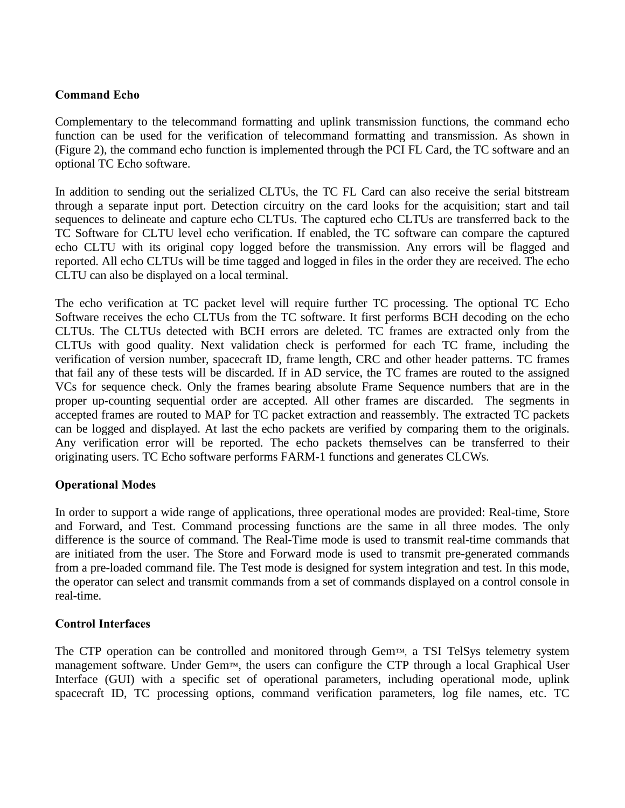# **Command Echo**

Complementary to the telecommand formatting and uplink transmission functions, the command echo function can be used for the verification of telecommand formatting and transmission. As shown in (Figure 2), the command echo function is implemented through the PCI FL Card, the TC software and an optional TC Echo software.

In addition to sending out the serialized CLTUs, the TC FL Card can also receive the serial bitstream through a separate input port. Detection circuitry on the card looks for the acquisition; start and tail sequences to delineate and capture echo CLTUs. The captured echo CLTUs are transferred back to the TC Software for CLTU level echo verification. If enabled, the TC software can compare the captured echo CLTU with its original copy logged before the transmission. Any errors will be flagged and reported. All echo CLTUs will be time tagged and logged in files in the order they are received. The echo CLTU can also be displayed on a local terminal.

The echo verification at TC packet level will require further TC processing. The optional TC Echo Software receives the echo CLTUs from the TC software. It first performs BCH decoding on the echo CLTUs. The CLTUs detected with BCH errors are deleted. TC frames are extracted only from the CLTUs with good quality. Next validation check is performed for each TC frame, including the verification of version number, spacecraft ID, frame length, CRC and other header patterns. TC frames that fail any of these tests will be discarded. If in AD service, the TC frames are routed to the assigned VCs for sequence check. Only the frames bearing absolute Frame Sequence numbers that are in the proper up-counting sequential order are accepted. All other frames are discarded. The segments in accepted frames are routed to MAP for TC packet extraction and reassembly. The extracted TC packets can be logged and displayed. At last the echo packets are verified by comparing them to the originals. Any verification error will be reported. The echo packets themselves can be transferred to their originating users. TC Echo software performs FARM-1 functions and generates CLCWs.

### **Operational Modes**

In order to support a wide range of applications, three operational modes are provided: Real-time, Store and Forward, and Test. Command processing functions are the same in all three modes. The only difference is the source of command. The Real-Time mode is used to transmit real-time commands that are initiated from the user. The Store and Forward mode is used to transmit pre-generated commands from a pre-loaded command file. The Test mode is designed for system integration and test. In this mode, the operator can select and transmit commands from a set of commands displayed on a control console in real-time.

### **Control Interfaces**

The CTP operation can be controlled and monitored through Gem™, a TSI TelSys telemetry system management software. Under Gem™, the users can configure the CTP through a local Graphical User Interface (GUI) with a specific set of operational parameters, including operational mode, uplink spacecraft ID, TC processing options, command verification parameters, log file names, etc. TC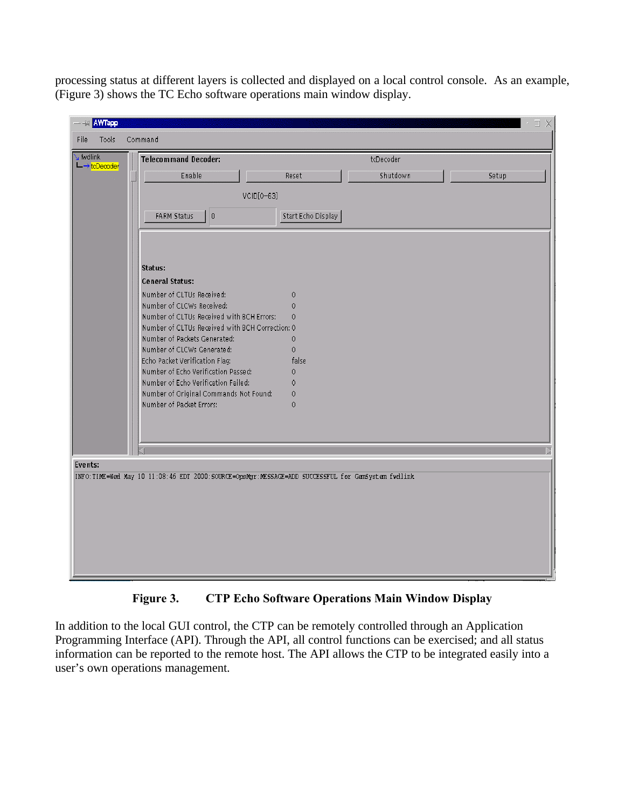processing status at different layers is collected and displayed on a local control console. As an example, (Figure 3) shows the TC Echo software operations main window display.

| v fydlink<br>$\mathsf{L}\to\mathsf{t}\text{-}\mathsf{D}\text{-}\mathsf{c}\text{-}\mathsf{d}\text{-}\mathsf{e}\text{-}$ | <b>Telecommand Decoder:</b>                     |                    | tcDecoder |       |
|------------------------------------------------------------------------------------------------------------------------|-------------------------------------------------|--------------------|-----------|-------|
|                                                                                                                        | Enable                                          | Reset              | Shutdown  | Setup |
|                                                                                                                        | VCID[0-63]                                      |                    |           |       |
|                                                                                                                        |                                                 |                    |           |       |
|                                                                                                                        | FARM Status<br>$\boldsymbol{0}$                 | Start Echo Display |           |       |
|                                                                                                                        |                                                 |                    |           |       |
|                                                                                                                        |                                                 |                    |           |       |
|                                                                                                                        | Status:                                         |                    |           |       |
|                                                                                                                        | <b>General Status:</b>                          |                    |           |       |
|                                                                                                                        | Number of CLTUs Received:                       | $\mathbf 0$        |           |       |
|                                                                                                                        | Number of CLCWs Received:                       | $\mathbf 0$        |           |       |
|                                                                                                                        | Number of CLTUs Received with BCH Errors:       | 0                  |           |       |
|                                                                                                                        | Number of CLTUs Received with BCH Correction: 0 |                    |           |       |
|                                                                                                                        | Number of Packets Generated:                    | $\mathbf{0}$       |           |       |
|                                                                                                                        | Number of CLCWs Generated:                      | 0                  |           |       |
|                                                                                                                        | Echo Packet Verification Flag:                  | false              |           |       |
|                                                                                                                        | Number of Echo Verification Passed:             | $\mathbf 0$        |           |       |
|                                                                                                                        | Number of Echo Verification Failed:             | $\mathbf 0$        |           |       |
|                                                                                                                        | Number of Original Commands Not Found:          | 0                  |           |       |
|                                                                                                                        | Number of Packet Errors:                        | 0                  |           |       |
|                                                                                                                        |                                                 |                    |           |       |
|                                                                                                                        |                                                 |                    |           |       |
|                                                                                                                        |                                                 |                    |           |       |
|                                                                                                                        |                                                 |                    |           |       |
| Events:                                                                                                                |                                                 |                    |           |       |

**Figure 3. CTP Echo Software Operations Main Window Display**

In addition to the local GUI control, the CTP can be remotely controlled through an Application Programming Interface (API). Through the API, all control functions can be exercised; and all status information can be reported to the remote host. The API allows the CTP to be integrated easily into a user's own operations management.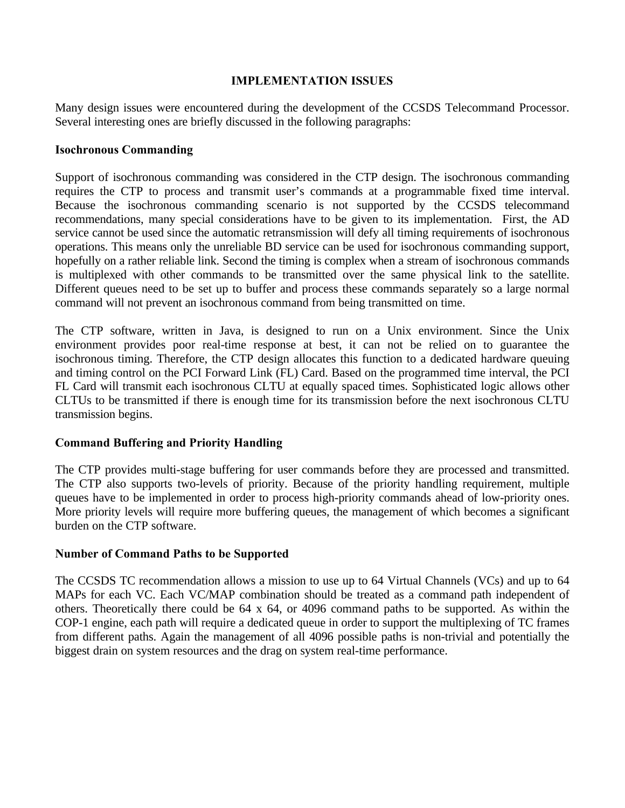### **IMPLEMENTATION ISSUES**

Many design issues were encountered during the development of the CCSDS Telecommand Processor. Several interesting ones are briefly discussed in the following paragraphs:

### **Isochronous Commanding**

Support of isochronous commanding was considered in the CTP design. The isochronous commanding requires the CTP to process and transmit user's commands at a programmable fixed time interval. Because the isochronous commanding scenario is not supported by the CCSDS telecommand recommendations, many special considerations have to be given to its implementation. First, the AD service cannot be used since the automatic retransmission will defy all timing requirements of isochronous operations. This means only the unreliable BD service can be used for isochronous commanding support, hopefully on a rather reliable link. Second the timing is complex when a stream of isochronous commands is multiplexed with other commands to be transmitted over the same physical link to the satellite. Different queues need to be set up to buffer and process these commands separately so a large normal command will not prevent an isochronous command from being transmitted on time.

The CTP software, written in Java, is designed to run on a Unix environment. Since the Unix environment provides poor real-time response at best, it can not be relied on to guarantee the isochronous timing. Therefore, the CTP design allocates this function to a dedicated hardware queuing and timing control on the PCI Forward Link (FL) Card. Based on the programmed time interval, the PCI FL Card will transmit each isochronous CLTU at equally spaced times. Sophisticated logic allows other CLTUs to be transmitted if there is enough time for its transmission before the next isochronous CLTU transmission begins.

# **Command Buffering and Priority Handling**

The CTP provides multi-stage buffering for user commands before they are processed and transmitted. The CTP also supports two-levels of priority. Because of the priority handling requirement, multiple queues have to be implemented in order to process high-priority commands ahead of low-priority ones. More priority levels will require more buffering queues, the management of which becomes a significant burden on the CTP software.

### **Number of Command Paths to be Supported**

The CCSDS TC recommendation allows a mission to use up to 64 Virtual Channels (VCs) and up to 64 MAPs for each VC. Each VC/MAP combination should be treated as a command path independent of others. Theoretically there could be 64 x 64, or 4096 command paths to be supported. As within the COP-1 engine, each path will require a dedicated queue in order to support the multiplexing of TC frames from different paths. Again the management of all 4096 possible paths is non-trivial and potentially the biggest drain on system resources and the drag on system real-time performance.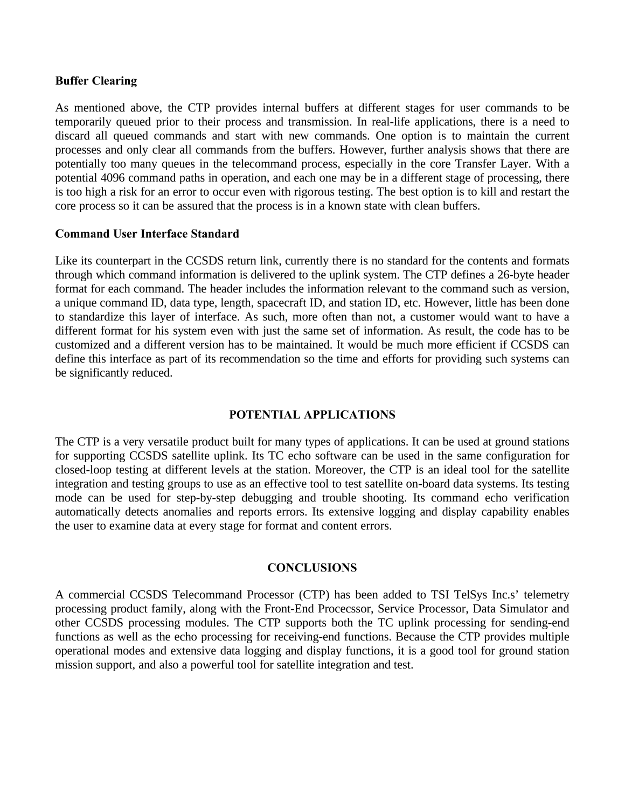#### **Buffer Clearing**

As mentioned above, the CTP provides internal buffers at different stages for user commands to be temporarily queued prior to their process and transmission. In real-life applications, there is a need to discard all queued commands and start with new commands. One option is to maintain the current processes and only clear all commands from the buffers. However, further analysis shows that there are potentially too many queues in the telecommand process, especially in the core Transfer Layer. With a potential 4096 command paths in operation, and each one may be in a different stage of processing, there is too high a risk for an error to occur even with rigorous testing. The best option is to kill and restart the core process so it can be assured that the process is in a known state with clean buffers.

#### **Command User Interface Standard**

Like its counterpart in the CCSDS return link, currently there is no standard for the contents and formats through which command information is delivered to the uplink system. The CTP defines a 26-byte header format for each command. The header includes the information relevant to the command such as version, a unique command ID, data type, length, spacecraft ID, and station ID, etc. However, little has been done to standardize this layer of interface. As such, more often than not, a customer would want to have a different format for his system even with just the same set of information. As result, the code has to be customized and a different version has to be maintained. It would be much more efficient if CCSDS can define this interface as part of its recommendation so the time and efforts for providing such systems can be significantly reduced.

### **POTENTIAL APPLICATIONS**

The CTP is a very versatile product built for many types of applications. It can be used at ground stations for supporting CCSDS satellite uplink. Its TC echo software can be used in the same configuration for closed-loop testing at different levels at the station. Moreover, the CTP is an ideal tool for the satellite integration and testing groups to use as an effective tool to test satellite on-board data systems. Its testing mode can be used for step-by-step debugging and trouble shooting. Its command echo verification automatically detects anomalies and reports errors. Its extensive logging and display capability enables the user to examine data at every stage for format and content errors.

#### **CONCLUSIONS**

A commercial CCSDS Telecommand Processor (CTP) has been added to TSI TelSys Inc.s' telemetry processing product family, along with the Front-End Procecssor, Service Processor, Data Simulator and other CCSDS processing modules. The CTP supports both the TC uplink processing for sending-end functions as well as the echo processing for receiving-end functions. Because the CTP provides multiple operational modes and extensive data logging and display functions, it is a good tool for ground station mission support, and also a powerful tool for satellite integration and test.